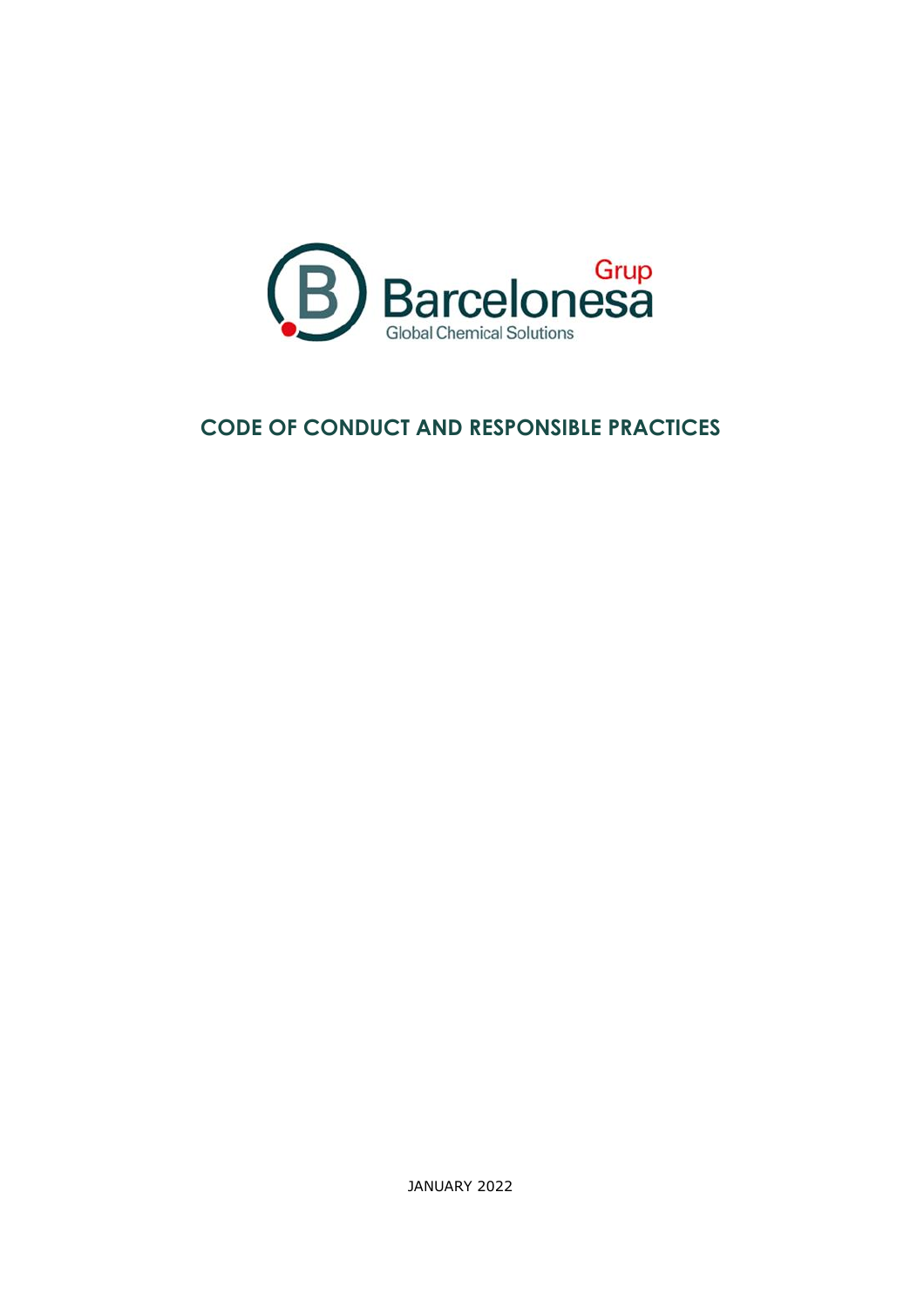

# **CODE OF CONDUCT AND RESPONSIBLE PRACTICES**

JANUARY 2022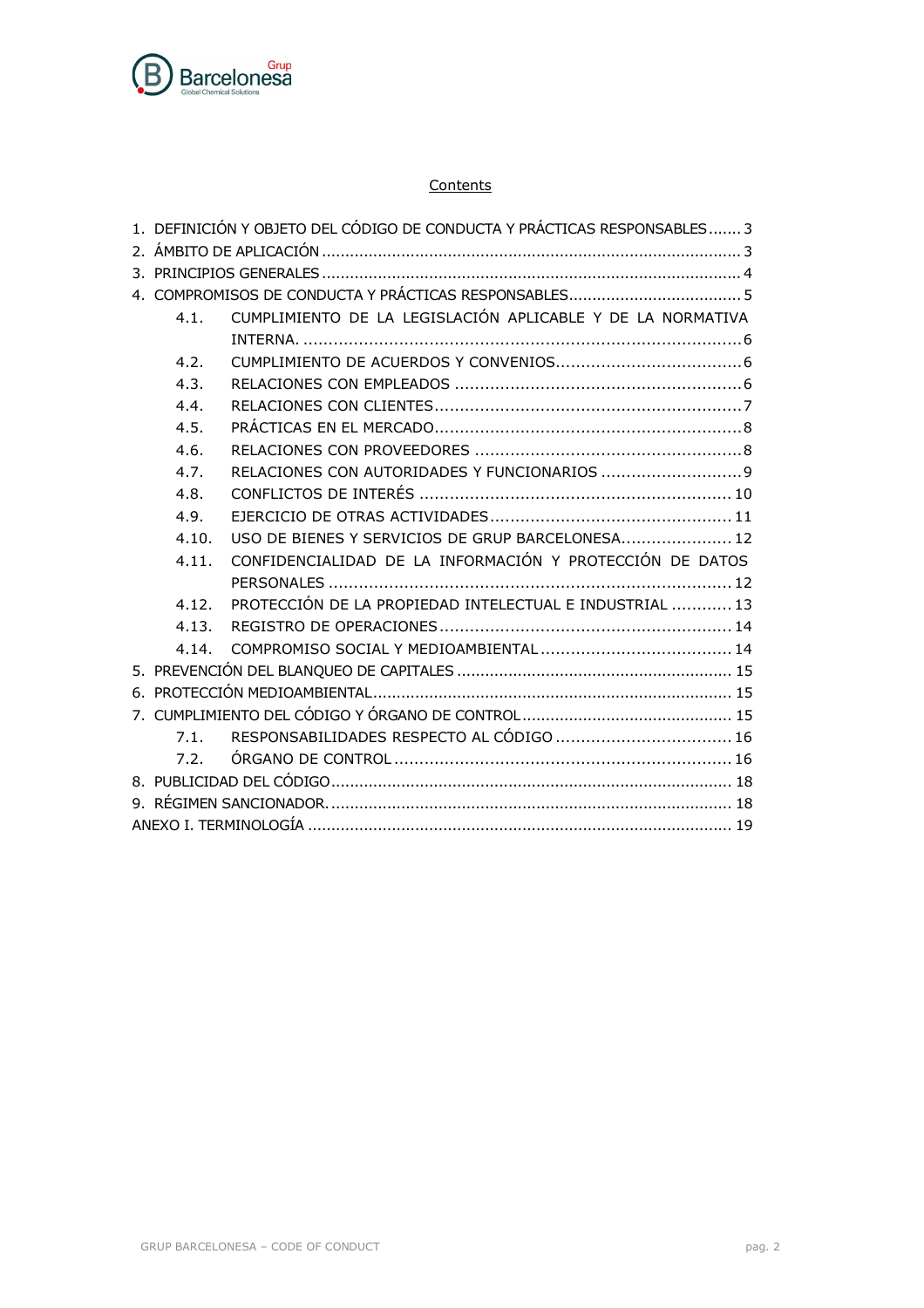

#### **Contents**

| 1. DEFINICIÓN Y OBJETO DEL CÓDIGO DE CONDUCTA Y PRÁCTICAS RESPONSABLES 3 |                                                            |  |  |
|--------------------------------------------------------------------------|------------------------------------------------------------|--|--|
|                                                                          |                                                            |  |  |
|                                                                          |                                                            |  |  |
|                                                                          |                                                            |  |  |
| 4.1.                                                                     | CUMPLIMIENTO DE LA LEGISLACIÓN APLICABLE Y DE LA NORMATIVA |  |  |
|                                                                          |                                                            |  |  |
| 4.2.                                                                     |                                                            |  |  |
| 4.3.                                                                     |                                                            |  |  |
| 4.4.                                                                     |                                                            |  |  |
| 4.5.                                                                     |                                                            |  |  |
| 4.6.                                                                     |                                                            |  |  |
| 4.7.                                                                     | RELACIONES CON AUTORIDADES Y FUNCIONARIOS 9                |  |  |
| 4.8.                                                                     |                                                            |  |  |
| 4.9.                                                                     |                                                            |  |  |
| 4.10.                                                                    | USO DE BIENES Y SERVICIOS DE GRUP BARCELONESA 12           |  |  |
| 4.11.                                                                    | CONFIDENCIALIDAD DE LA INFORMACIÓN Y PROTECCIÓN DE DATOS   |  |  |
|                                                                          |                                                            |  |  |
| 4.12.                                                                    | PROTECCIÓN DE LA PROPIEDAD INTELECTUAL E INDUSTRIAL  13    |  |  |
| 4.13.                                                                    |                                                            |  |  |
| 4.14.                                                                    |                                                            |  |  |
|                                                                          |                                                            |  |  |
|                                                                          |                                                            |  |  |
|                                                                          |                                                            |  |  |
| 7.1.                                                                     | RESPONSABILIDADES RESPECTO AL CÓDIGO  16                   |  |  |
| 7.2.                                                                     |                                                            |  |  |
|                                                                          |                                                            |  |  |
|                                                                          |                                                            |  |  |
|                                                                          |                                                            |  |  |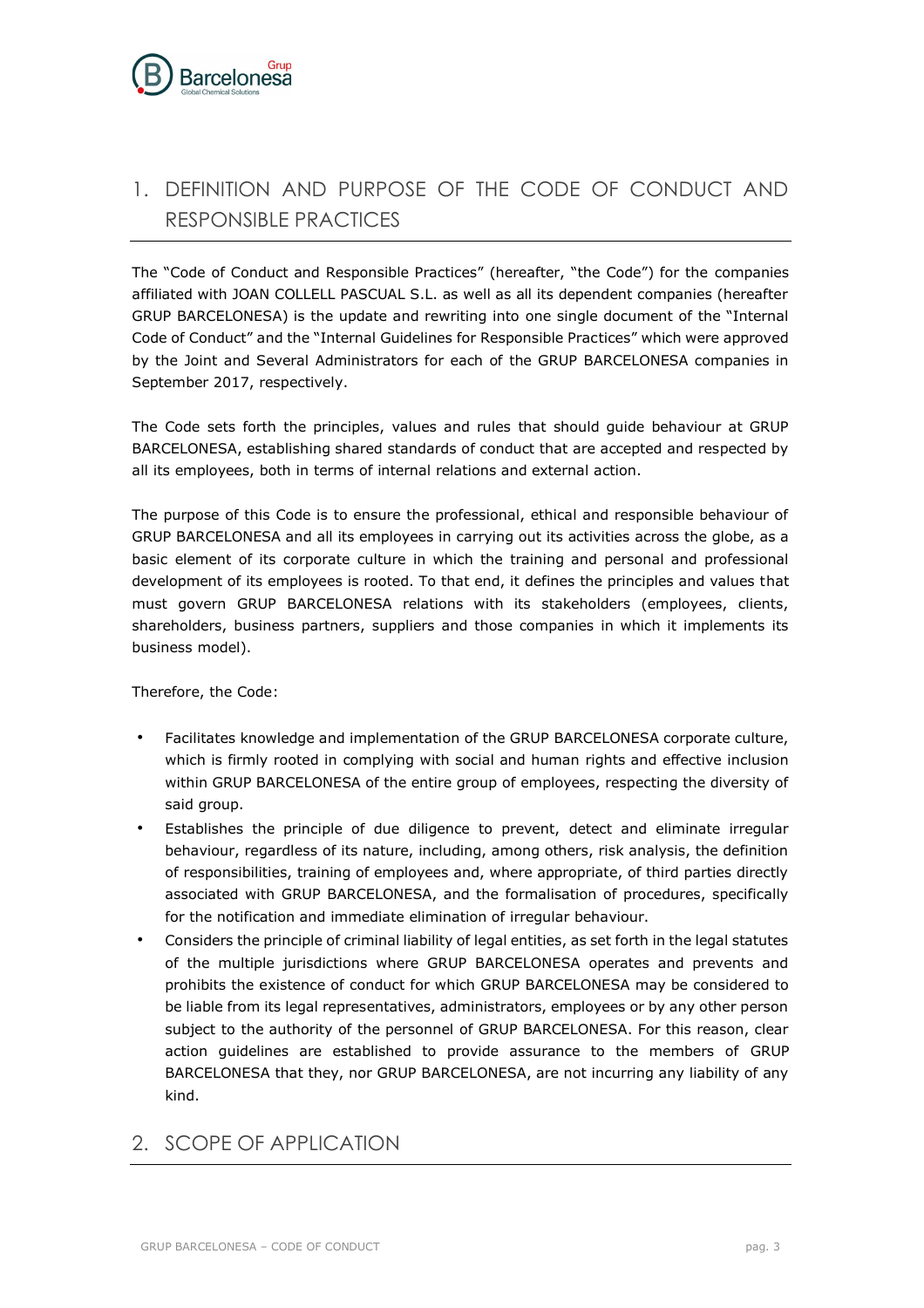# <span id="page-2-0"></span>1. DEFINITION AND PURPOSE OF THE CODE OF CONDUCT AND RESPONSIBLE PRACTICES

The "Code of Conduct and Responsible Practices" (hereafter, "the Code") for the companies affiliated with JOAN COLLELL PASCUAL S.L. as well as all its dependent companies (hereafter GRUP BARCELONESA) is the update and rewriting into one single document of the "Internal Code of Conduct" and the "Internal Guidelines for Responsible Practices" which were approved by the Joint and Several Administrators for each of the GRUP BARCELONESA companies in September 2017, respectively.

The Code sets forth the principles, values and rules that should guide behaviour at GRUP BARCELONESA, establishing shared standards of conduct that are accepted and respected by all its employees, both in terms of internal relations and external action.

The purpose of this Code is to ensure the professional, ethical and responsible behaviour of GRUP BARCELONESA and all its employees in carrying out its activities across the globe, as a basic element of its corporate culture in which the training and personal and professional development of its employees is rooted. To that end, it defines the principles and values that must govern GRUP BARCELONESA relations with its stakeholders (employees, clients, shareholders, business partners, suppliers and those companies in which it implements its business model).

Therefore, the Code:

- Facilitates knowledge and implementation of the GRUP BARCELONESA corporate culture, which is firmly rooted in complying with social and human rights and effective inclusion within GRUP BARCELONESA of the entire group of employees, respecting the diversity of said group.
- Establishes the principle of due diligence to prevent, detect and eliminate irregular behaviour, regardless of its nature, including, among others, risk analysis, the definition of responsibilities, training of employees and, where appropriate, of third parties directly associated with GRUP BARCELONESA, and the formalisation of procedures, specifically for the notification and immediate elimination of irregular behaviour.
- Considers the principle of criminal liability of legal entities, as set forth in the legal statutes of the multiple jurisdictions where GRUP BARCELONESA operates and prevents and prohibits the existence of conduct for which GRUP BARCELONESA may be considered to be liable from its legal representatives, administrators, employees or by any other person subject to the authority of the personnel of GRUP BARCELONESA. For this reason, clear action guidelines are established to provide assurance to the members of GRUP BARCELONESA that they, nor GRUP BARCELONESA, are not incurring any liability of any kind.

# <span id="page-2-1"></span>2. SCOPE OF APPLICATION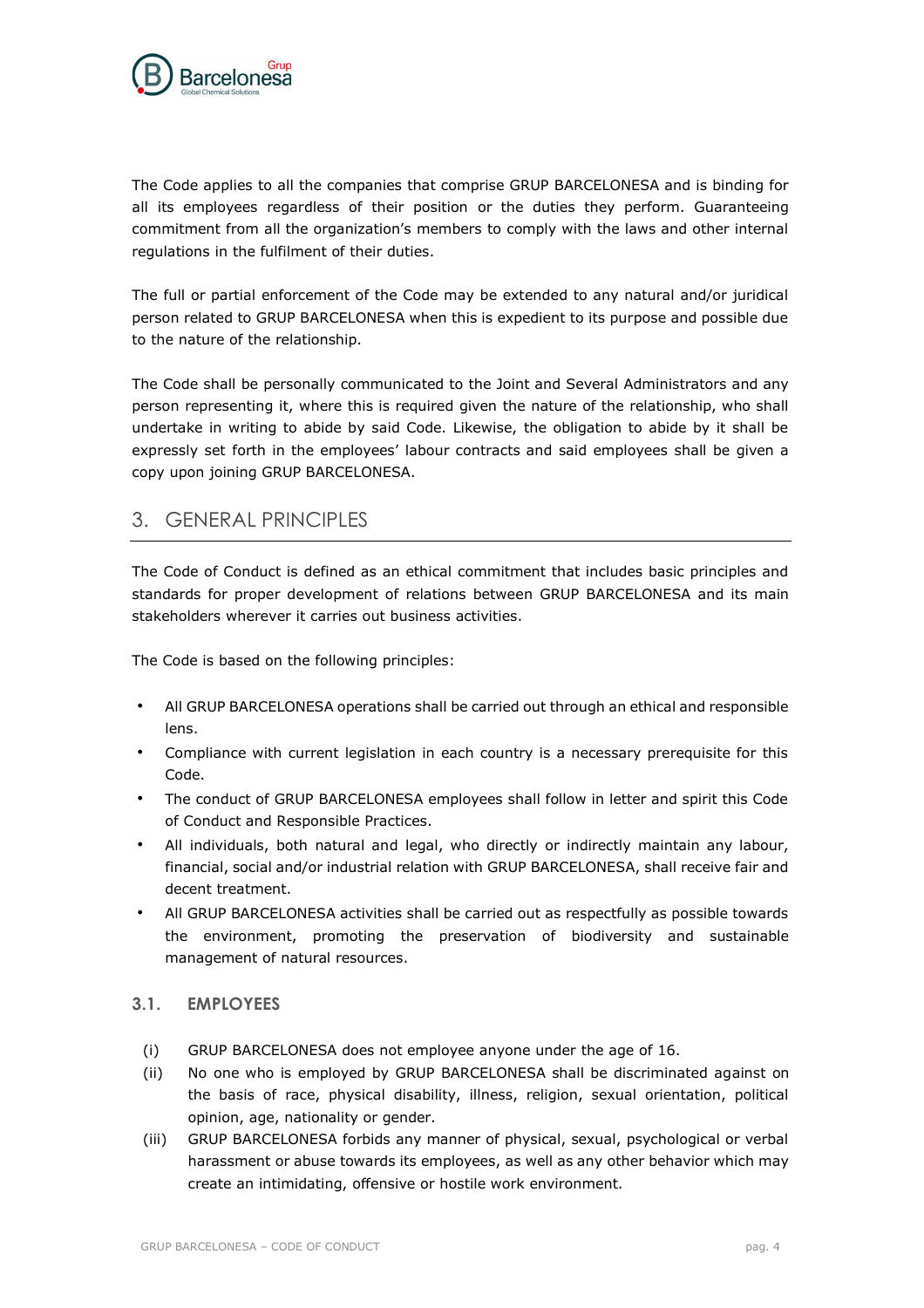

The Code applies to all the companies that comprise GRUP BARCELONESA and is binding for all its employees regardless of their position or the duties they perform. Guaranteeing commitment from all the organization's members to comply with the laws and other internal regulations in the fulfilment of their duties.

The full or partial enforcement of the Code may be extended to any natural and/or juridical person related to GRUP BARCELONESA when this is expedient to its purpose and possible due to the nature of the relationship.

The Code shall be personally communicated to the Joint and Several Administrators and any person representing it, where this is required given the nature of the relationship, who shall undertake in writing to abide by said Code. Likewise, the obligation to abide by it shall be expressly set forth in the employees' labour contracts and said employees shall be given a copy upon joining GRUP BARCELONESA.

# <span id="page-3-0"></span>3. GENERAL PRINCIPLES

The Code of Conduct is defined as an ethical commitment that includes basic principles and standards for proper development of relations between GRUP BARCELONESA and its main stakeholders wherever it carries out business activities.

The Code is based on the following principles:

- All GRUP BARCELONESA operations shall be carried out through an ethical and responsible lens.
- Compliance with current legislation in each country is a necessary prerequisite for this Code.
- The conduct of GRUP BARCELONESA employees shall follow in letter and spirit this Code of Conduct and Responsible Practices.
- All individuals, both natural and legal, who directly or indirectly maintain any labour, financial, social and/or industrial relation with GRUP BARCELONESA, shall receive fair and decent treatment.
- All GRUP BARCELONESA activities shall be carried out as respectfully as possible towards the environment, promoting the preservation of biodiversity and sustainable management of natural resources.

### **3.1. EMPLOYEES**

- (i) GRUP BARCELONESA does not employee anyone under the age of 16.
- (ii) No one who is employed by GRUP BARCELONESA shall be discriminated against on the basis of race, physical disability, illness, religion, sexual orientation, political opinion, age, nationality or gender.
- (iii) GRUP BARCELONESA forbids any manner of physical, sexual, psychological or verbal harassment or abuse towards its employees, as well as any other behavior which may create an intimidating, offensive or hostile work environment.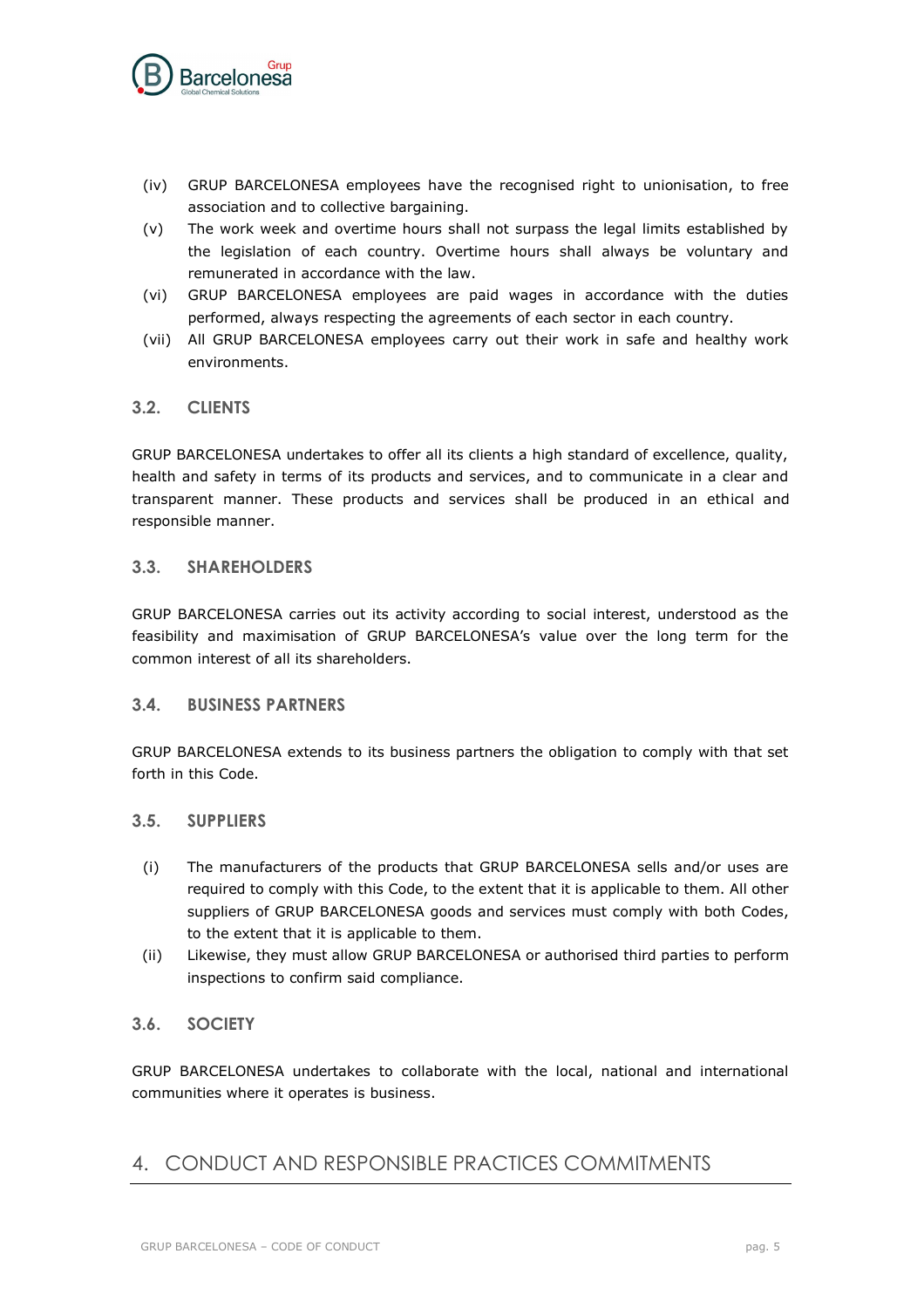

- (iv) GRUP BARCELONESA employees have the recognised right to unionisation, to free association and to collective bargaining.
- (v) The work week and overtime hours shall not surpass the legal limits established by the legislation of each country. Overtime hours shall always be voluntary and remunerated in accordance with the law.
- (vi) GRUP BARCELONESA employees are paid wages in accordance with the duties performed, always respecting the agreements of each sector in each country.
- (vii) All GRUP BARCELONESA employees carry out their work in safe and healthy work environments.

### **3.2. CLIENTS**

GRUP BARCELONESA undertakes to offer all its clients a high standard of excellence, quality, health and safety in terms of its products and services, and to communicate in a clear and transparent manner. These products and services shall be produced in an ethical and responsible manner.

#### **3.3. SHAREHOLDERS**

GRUP BARCELONESA carries out its activity according to social interest, understood as the feasibility and maximisation of GRUP BARCELONESA's value over the long term for the common interest of all its shareholders.

### **3.4. BUSINESS PARTNERS**

GRUP BARCELONESA extends to its business partners the obligation to comply with that set forth in this Code.

### **3.5. SUPPLIERS**

- (i) The manufacturers of the products that GRUP BARCELONESA sells and/or uses are required to comply with this Code, to the extent that it is applicable to them. All other suppliers of GRUP BARCELONESA goods and services must comply with both Codes, to the extent that it is applicable to them.
- (ii) Likewise, they must allow GRUP BARCELONESA or authorised third parties to perform inspections to confirm said compliance.

### **3.6. SOCIETY**

GRUP BARCELONESA undertakes to collaborate with the local, national and international communities where it operates is business.

# <span id="page-4-0"></span>4. CONDUCT AND RESPONSIBLE PRACTICES COMMITMENTS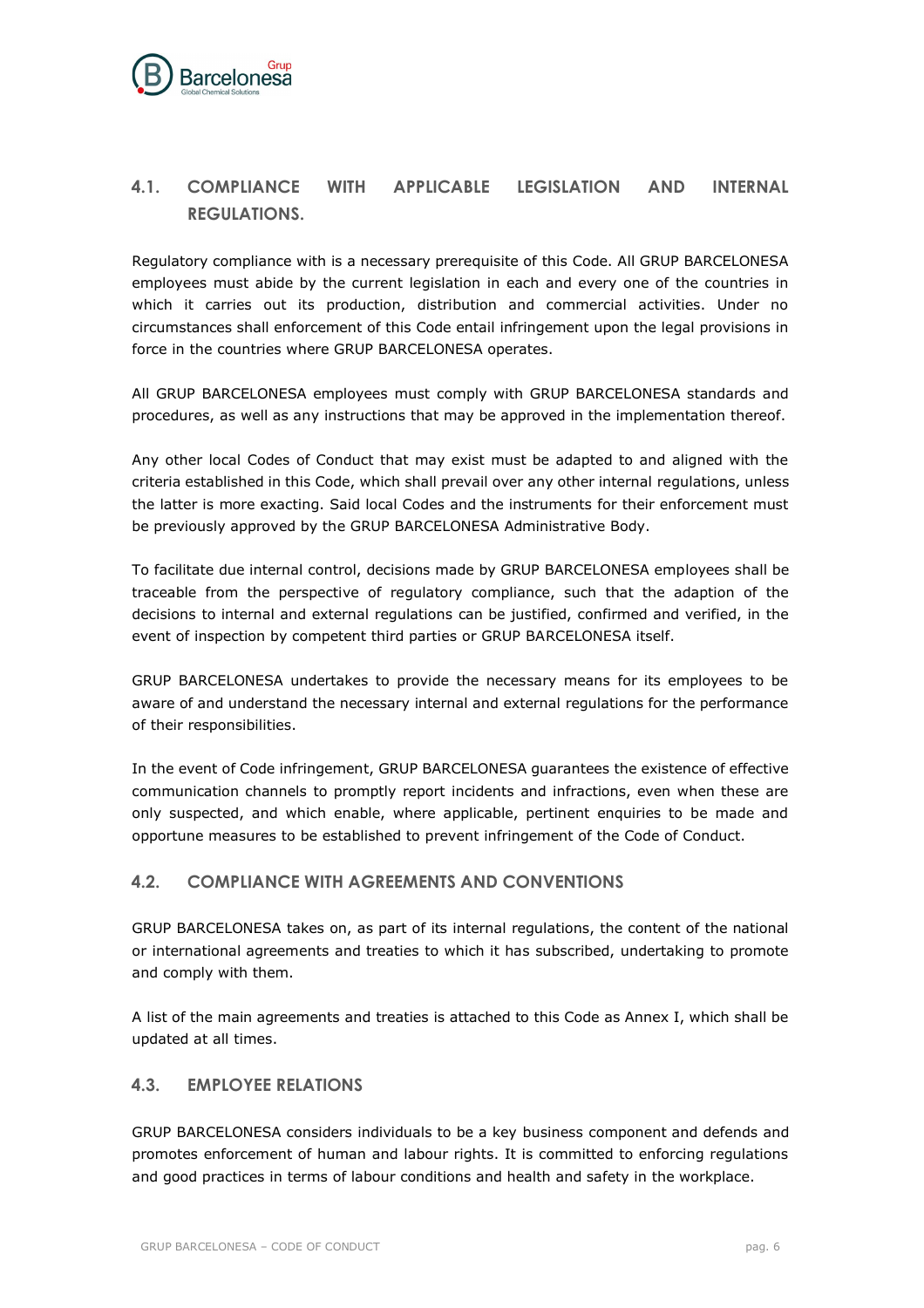

# <span id="page-5-0"></span>**4.1. COMPLIANCE WITH APPLICABLE LEGISLATION AND INTERNAL REGULATIONS.**

Regulatory compliance with is a necessary prerequisite of this Code. All GRUP BARCELONESA employees must abide by the current legislation in each and every one of the countries in which it carries out its production, distribution and commercial activities. Under no circumstances shall enforcement of this Code entail infringement upon the legal provisions in force in the countries where GRUP BARCELONESA operates.

All GRUP BARCELONESA employees must comply with GRUP BARCELONESA standards and procedures, as well as any instructions that may be approved in the implementation thereof.

Any other local Codes of Conduct that may exist must be adapted to and aligned with the criteria established in this Code, which shall prevail over any other internal regulations, unless the latter is more exacting. Said local Codes and the instruments for their enforcement must be previously approved by the GRUP BARCELONESA Administrative Body.

To facilitate due internal control, decisions made by GRUP BARCELONESA employees shall be traceable from the perspective of regulatory compliance, such that the adaption of the decisions to internal and external regulations can be justified, confirmed and verified, in the event of inspection by competent third parties or GRUP BARCELONESA itself.

GRUP BARCELONESA undertakes to provide the necessary means for its employees to be aware of and understand the necessary internal and external regulations for the performance of their responsibilities.

In the event of Code infringement, GRUP BARCELONESA guarantees the existence of effective communication channels to promptly report incidents and infractions, even when these are only suspected, and which enable, where applicable, pertinent enquiries to be made and opportune measures to be established to prevent infringement of the Code of Conduct.

# <span id="page-5-1"></span>**4.2. COMPLIANCE WITH AGREEMENTS AND CONVENTIONS**

GRUP BARCELONESA takes on, as part of its internal regulations, the content of the national or international agreements and treaties to which it has subscribed, undertaking to promote and comply with them.

A list of the main agreements and treaties is attached to this Code as Annex I, which shall be updated at all times.

# <span id="page-5-2"></span>**4.3. EMPLOYEE RELATIONS**

GRUP BARCELONESA considers individuals to be a key business component and defends and promotes enforcement of human and labour rights. It is committed to enforcing regulations and good practices in terms of labour conditions and health and safety in the workplace.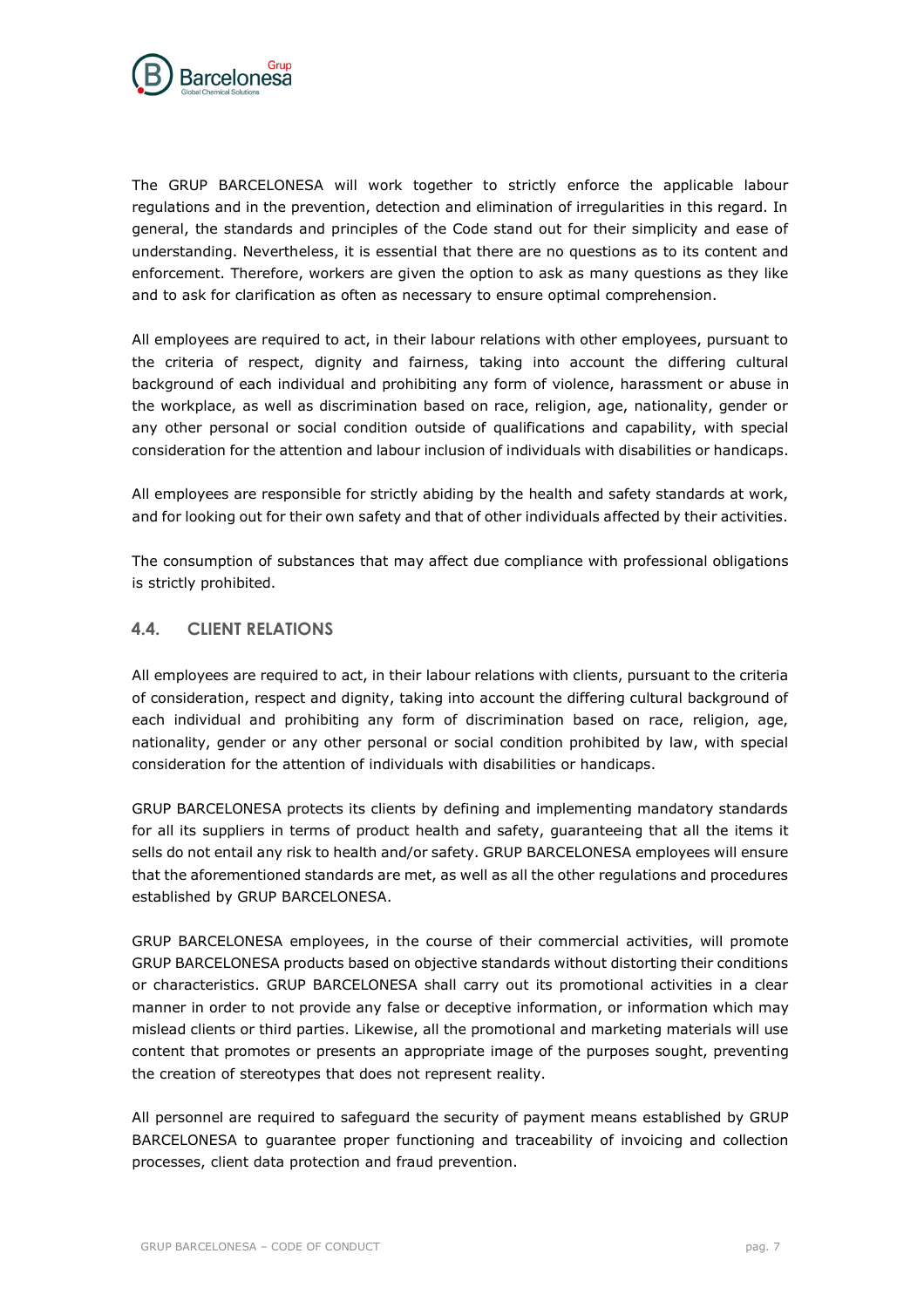

The GRUP BARCELONESA will work together to strictly enforce the applicable labour regulations and in the prevention, detection and elimination of irregularities in this regard. In general, the standards and principles of the Code stand out for their simplicity and ease of understanding. Nevertheless, it is essential that there are no questions as to its content and enforcement. Therefore, workers are given the option to ask as many questions as they like and to ask for clarification as often as necessary to ensure optimal comprehension.

All employees are required to act, in their labour relations with other employees, pursuant to the criteria of respect, dignity and fairness, taking into account the differing cultural background of each individual and prohibiting any form of violence, harassment or abuse in the workplace, as well as discrimination based on race, religion, age, nationality, gender or any other personal or social condition outside of qualifications and capability, with special consideration for the attention and labour inclusion of individuals with disabilities or handicaps.

All employees are responsible for strictly abiding by the health and safety standards at work, and for looking out for their own safety and that of other individuals affected by their activities.

The consumption of substances that may affect due compliance with professional obligations is strictly prohibited.

### <span id="page-6-0"></span>**4.4. CLIENT RELATIONS**

All employees are required to act, in their labour relations with clients, pursuant to the criteria of consideration, respect and dignity, taking into account the differing cultural background of each individual and prohibiting any form of discrimination based on race, religion, age, nationality, gender or any other personal or social condition prohibited by law, with special consideration for the attention of individuals with disabilities or handicaps.

GRUP BARCELONESA protects its clients by defining and implementing mandatory standards for all its suppliers in terms of product health and safety, guaranteeing that all the items it sells do not entail any risk to health and/or safety. GRUP BARCELONESA employees will ensure that the aforementioned standards are met, as well as all the other regulations and procedures established by GRUP BARCELONESA.

GRUP BARCELONESA employees, in the course of their commercial activities, will promote GRUP BARCELONESA products based on objective standards without distorting their conditions or characteristics. GRUP BARCELONESA shall carry out its promotional activities in a clear manner in order to not provide any false or deceptive information, or information which may mislead clients or third parties. Likewise, all the promotional and marketing materials will use content that promotes or presents an appropriate image of the purposes sought, preventing the creation of stereotypes that does not represent reality.

All personnel are required to safeguard the security of payment means established by GRUP BARCELONESA to guarantee proper functioning and traceability of invoicing and collection processes, client data protection and fraud prevention.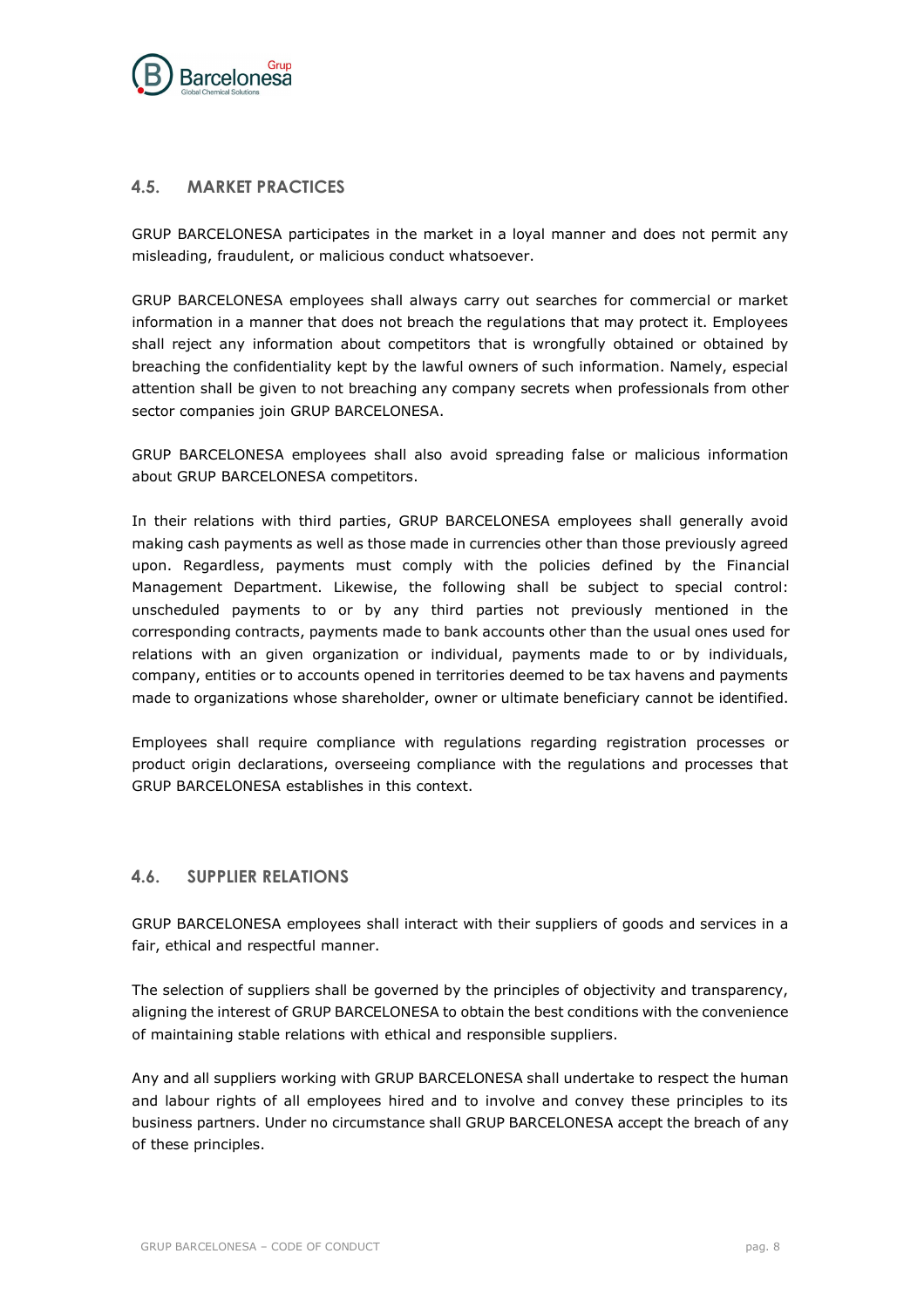

### <span id="page-7-0"></span>**4.5. MARKET PRACTICES**

GRUP BARCELONESA participates in the market in a loyal manner and does not permit any misleading, fraudulent, or malicious conduct whatsoever.

GRUP BARCELONESA employees shall always carry out searches for commercial or market information in a manner that does not breach the regulations that may protect it. Employees shall reject any information about competitors that is wrongfully obtained or obtained by breaching the confidentiality kept by the lawful owners of such information. Namely, especial attention shall be given to not breaching any company secrets when professionals from other sector companies join GRUP BARCELONESA.

GRUP BARCELONESA employees shall also avoid spreading false or malicious information about GRUP BARCELONESA competitors.

In their relations with third parties, GRUP BARCELONESA employees shall generally avoid making cash payments as well as those made in currencies other than those previously agreed upon. Regardless, payments must comply with the policies defined by the Financial Management Department. Likewise, the following shall be subject to special control: unscheduled payments to or by any third parties not previously mentioned in the corresponding contracts, payments made to bank accounts other than the usual ones used for relations with an given organization or individual, payments made to or by individuals, company, entities or to accounts opened in territories deemed to be tax havens and payments made to organizations whose shareholder, owner or ultimate beneficiary cannot be identified.

Employees shall require compliance with regulations regarding registration processes or product origin declarations, overseeing compliance with the regulations and processes that GRUP BARCELONESA establishes in this context.

### <span id="page-7-1"></span>**4.6. SUPPLIER RELATIONS**

GRUP BARCELONESA employees shall interact with their suppliers of goods and services in a fair, ethical and respectful manner.

The selection of suppliers shall be governed by the principles of objectivity and transparency, aligning the interest of GRUP BARCELONESA to obtain the best conditions with the convenience of maintaining stable relations with ethical and responsible suppliers.

Any and all suppliers working with GRUP BARCELONESA shall undertake to respect the human and labour rights of all employees hired and to involve and convey these principles to its business partners. Under no circumstance shall GRUP BARCELONESA accept the breach of any of these principles.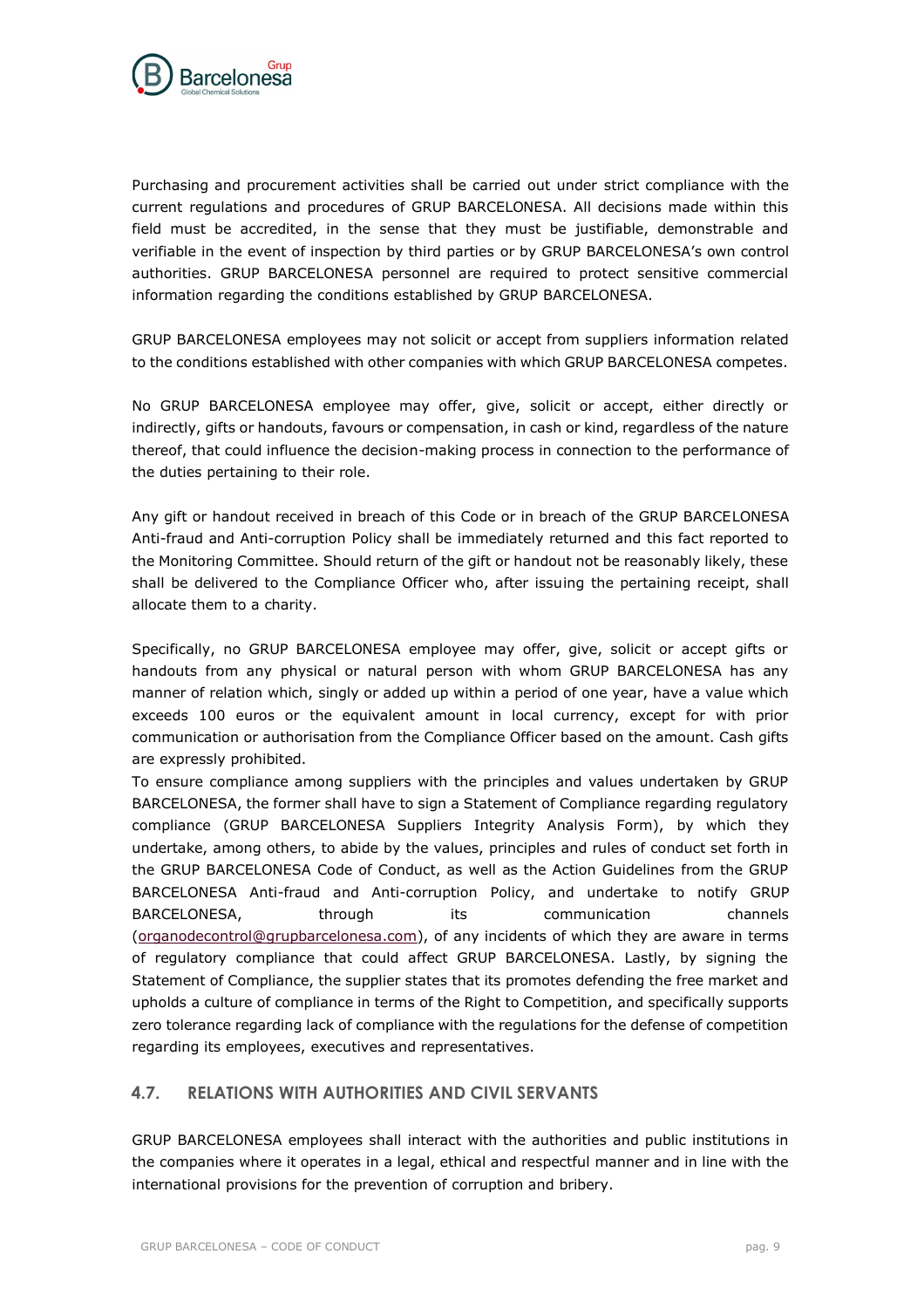

Purchasing and procurement activities shall be carried out under strict compliance with the current regulations and procedures of GRUP BARCELONESA. All decisions made within this field must be accredited, in the sense that they must be justifiable, demonstrable and verifiable in the event of inspection by third parties or by GRUP BARCELONESA's own control authorities. GRUP BARCELONESA personnel are required to protect sensitive commercial information regarding the conditions established by GRUP BARCELONESA.

GRUP BARCELONESA employees may not solicit or accept from suppliers information related to the conditions established with other companies with which GRUP BARCELONESA competes.

No GRUP BARCELONESA employee may offer, give, solicit or accept, either directly or indirectly, gifts or handouts, favours or compensation, in cash or kind, regardless of the nature thereof, that could influence the decision-making process in connection to the performance of the duties pertaining to their role.

Any gift or handout received in breach of this Code or in breach of the GRUP BARCELONESA Anti-fraud and Anti-corruption Policy shall be immediately returned and this fact reported to the Monitoring Committee. Should return of the gift or handout not be reasonably likely, these shall be delivered to the Compliance Officer who, after issuing the pertaining receipt, shall allocate them to a charity.

Specifically, no GRUP BARCELONESA employee may offer, give, solicit or accept gifts or handouts from any physical or natural person with whom GRUP BARCELONESA has any manner of relation which, singly or added up within a period of one year, have a value which exceeds 100 euros or the equivalent amount in local currency, except for with prior communication or authorisation from the Compliance Officer based on the amount. Cash gifts are expressly prohibited.

To ensure compliance among suppliers with the principles and values undertaken by GRUP BARCELONESA, the former shall have to sign a Statement of Compliance regarding regulatory compliance (GRUP BARCELONESA Suppliers Integrity Analysis Form), by which they undertake, among others, to abide by the values, principles and rules of conduct set forth in the GRUP BARCELONESA Code of Conduct, as well as the Action Guidelines from the GRUP BARCELONESA Anti-fraud and Anti-corruption Policy, and undertake to notify GRUP BARCELONESA, through its communication channels [\(organodecontrol@grupbarcelonesa.com\)](mailto:organodecontrol@grupbarcelonesa.com), of any incidents of which they are aware in terms of regulatory compliance that could affect GRUP BARCELONESA. Lastly, by signing the Statement of Compliance, the supplier states that its promotes defending the free market and upholds a culture of compliance in terms of the Right to Competition, and specifically supports zero tolerance regarding lack of compliance with the regulations for the defense of competition regarding its employees, executives and representatives.

### <span id="page-8-0"></span>**4.7. RELATIONS WITH AUTHORITIES AND CIVIL SERVANTS**

GRUP BARCELONESA employees shall interact with the authorities and public institutions in the companies where it operates in a legal, ethical and respectful manner and in line with the international provisions for the prevention of corruption and bribery.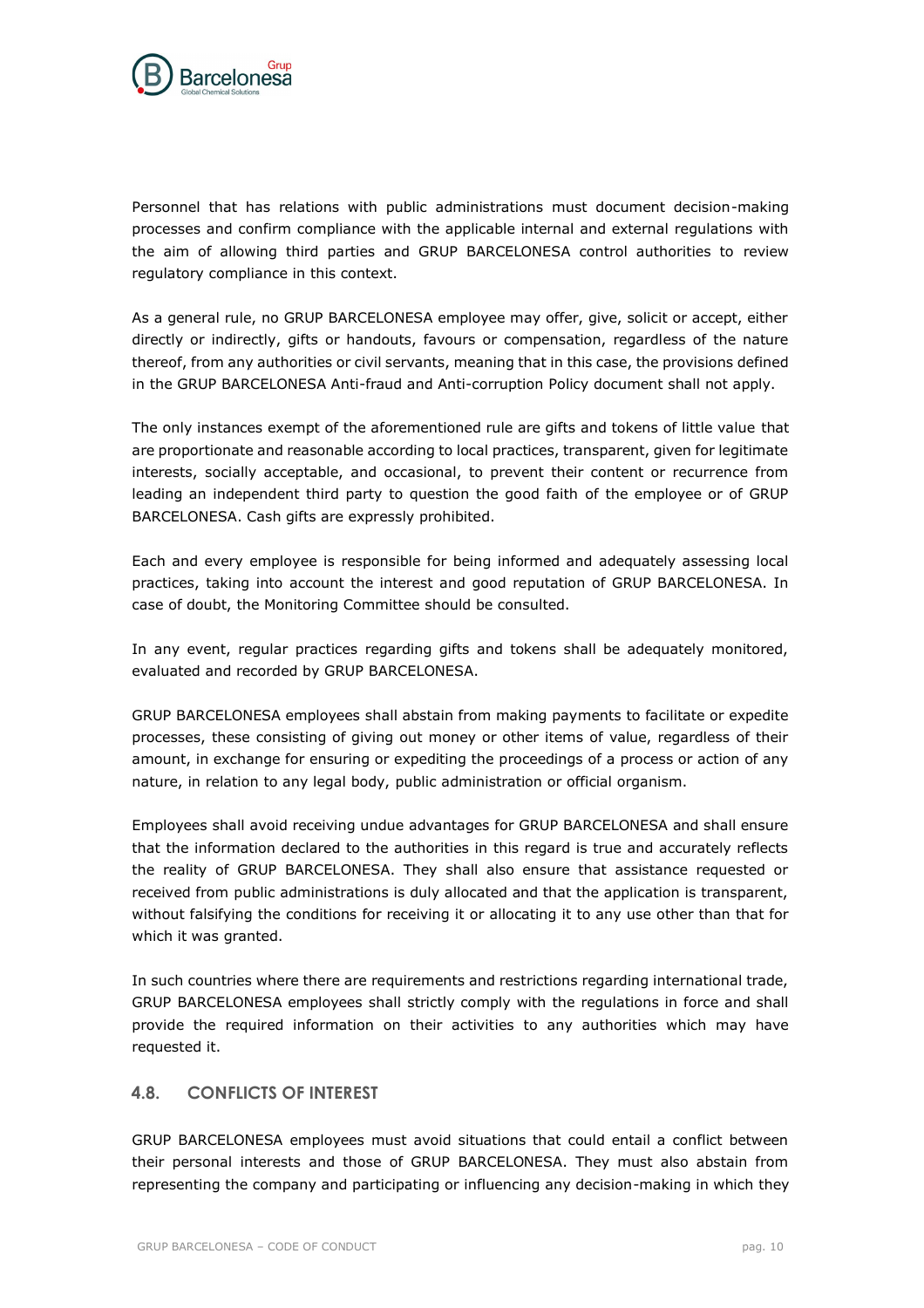

Personnel that has relations with public administrations must document decision-making processes and confirm compliance with the applicable internal and external regulations with the aim of allowing third parties and GRUP BARCELONESA control authorities to review regulatory compliance in this context.

As a general rule, no GRUP BARCELONESA employee may offer, give, solicit or accept, either directly or indirectly, gifts or handouts, favours or compensation, regardless of the nature thereof, from any authorities or civil servants, meaning that in this case, the provisions defined in the GRUP BARCELONESA Anti-fraud and Anti-corruption Policy document shall not apply.

The only instances exempt of the aforementioned rule are gifts and tokens of little value that are proportionate and reasonable according to local practices, transparent, given for legitimate interests, socially acceptable, and occasional, to prevent their content or recurrence from leading an independent third party to question the good faith of the employee or of GRUP BARCELONESA. Cash gifts are expressly prohibited.

Each and every employee is responsible for being informed and adequately assessing local practices, taking into account the interest and good reputation of GRUP BARCELONESA. In case of doubt, the Monitoring Committee should be consulted.

In any event, regular practices regarding gifts and tokens shall be adequately monitored, evaluated and recorded by GRUP BARCELONESA.

GRUP BARCELONESA employees shall abstain from making payments to facilitate or expedite processes, these consisting of giving out money or other items of value, regardless of their amount, in exchange for ensuring or expediting the proceedings of a process or action of any nature, in relation to any legal body, public administration or official organism.

Employees shall avoid receiving undue advantages for GRUP BARCELONESA and shall ensure that the information declared to the authorities in this regard is true and accurately reflects the reality of GRUP BARCELONESA. They shall also ensure that assistance requested or received from public administrations is duly allocated and that the application is transparent, without falsifying the conditions for receiving it or allocating it to any use other than that for which it was granted.

In such countries where there are requirements and restrictions regarding international trade, GRUP BARCELONESA employees shall strictly comply with the regulations in force and shall provide the required information on their activities to any authorities which may have requested it.

# <span id="page-9-0"></span>**4.8. CONFLICTS OF INTEREST**

GRUP BARCELONESA employees must avoid situations that could entail a conflict between their personal interests and those of GRUP BARCELONESA. They must also abstain from representing the company and participating or influencing any decision-making in which they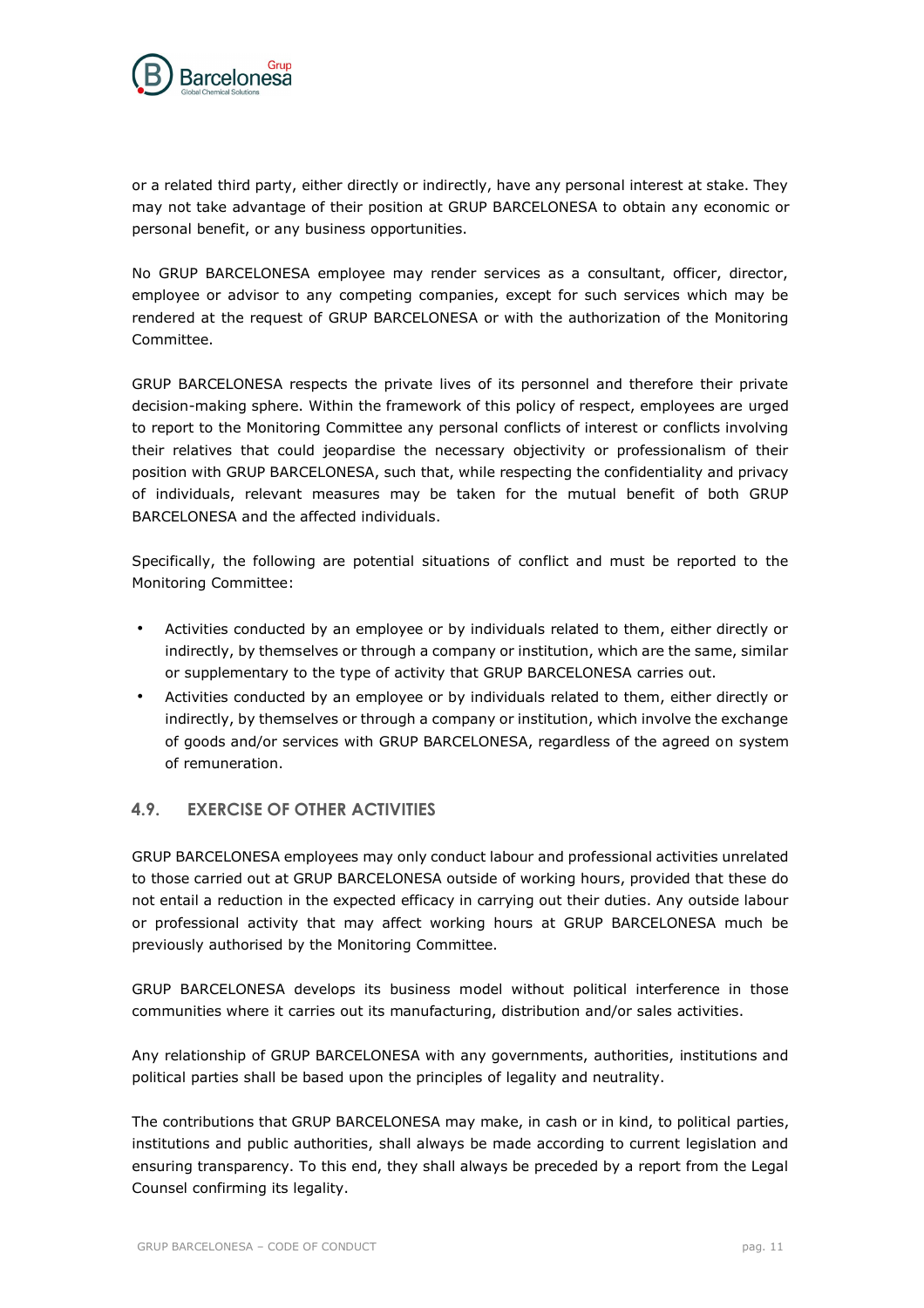

or a related third party, either directly or indirectly, have any personal interest at stake. They may not take advantage of their position at GRUP BARCELONESA to obtain any economic or personal benefit, or any business opportunities.

No GRUP BARCELONESA employee may render services as a consultant, officer, director, employee or advisor to any competing companies, except for such services which may be rendered at the request of GRUP BARCELONESA or with the authorization of the Monitoring Committee.

GRUP BARCELONESA respects the private lives of its personnel and therefore their private decision-making sphere. Within the framework of this policy of respect, employees are urged to report to the Monitoring Committee any personal conflicts of interest or conflicts involving their relatives that could jeopardise the necessary objectivity or professionalism of their position with GRUP BARCELONESA, such that, while respecting the confidentiality and privacy of individuals, relevant measures may be taken for the mutual benefit of both GRUP BARCELONESA and the affected individuals.

Specifically, the following are potential situations of conflict and must be reported to the Monitoring Committee:

- Activities conducted by an employee or by individuals related to them, either directly or indirectly, by themselves or through a company or institution, which are the same, similar or supplementary to the type of activity that GRUP BARCELONESA carries out.
- Activities conducted by an employee or by individuals related to them, either directly or indirectly, by themselves or through a company or institution, which involve the exchange of goods and/or services with GRUP BARCELONESA, regardless of the agreed on system of remuneration.

# <span id="page-10-0"></span>**4.9. EXERCISE OF OTHER ACTIVITIES**

GRUP BARCELONESA employees may only conduct labour and professional activities unrelated to those carried out at GRUP BARCELONESA outside of working hours, provided that these do not entail a reduction in the expected efficacy in carrying out their duties. Any outside labour or professional activity that may affect working hours at GRUP BARCELONESA much be previously authorised by the Monitoring Committee.

GRUP BARCELONESA develops its business model without political interference in those communities where it carries out its manufacturing, distribution and/or sales activities.

Any relationship of GRUP BARCELONESA with any governments, authorities, institutions and political parties shall be based upon the principles of legality and neutrality.

The contributions that GRUP BARCELONESA may make, in cash or in kind, to political parties, institutions and public authorities, shall always be made according to current legislation and ensuring transparency. To this end, they shall always be preceded by a report from the Legal Counsel confirming its legality.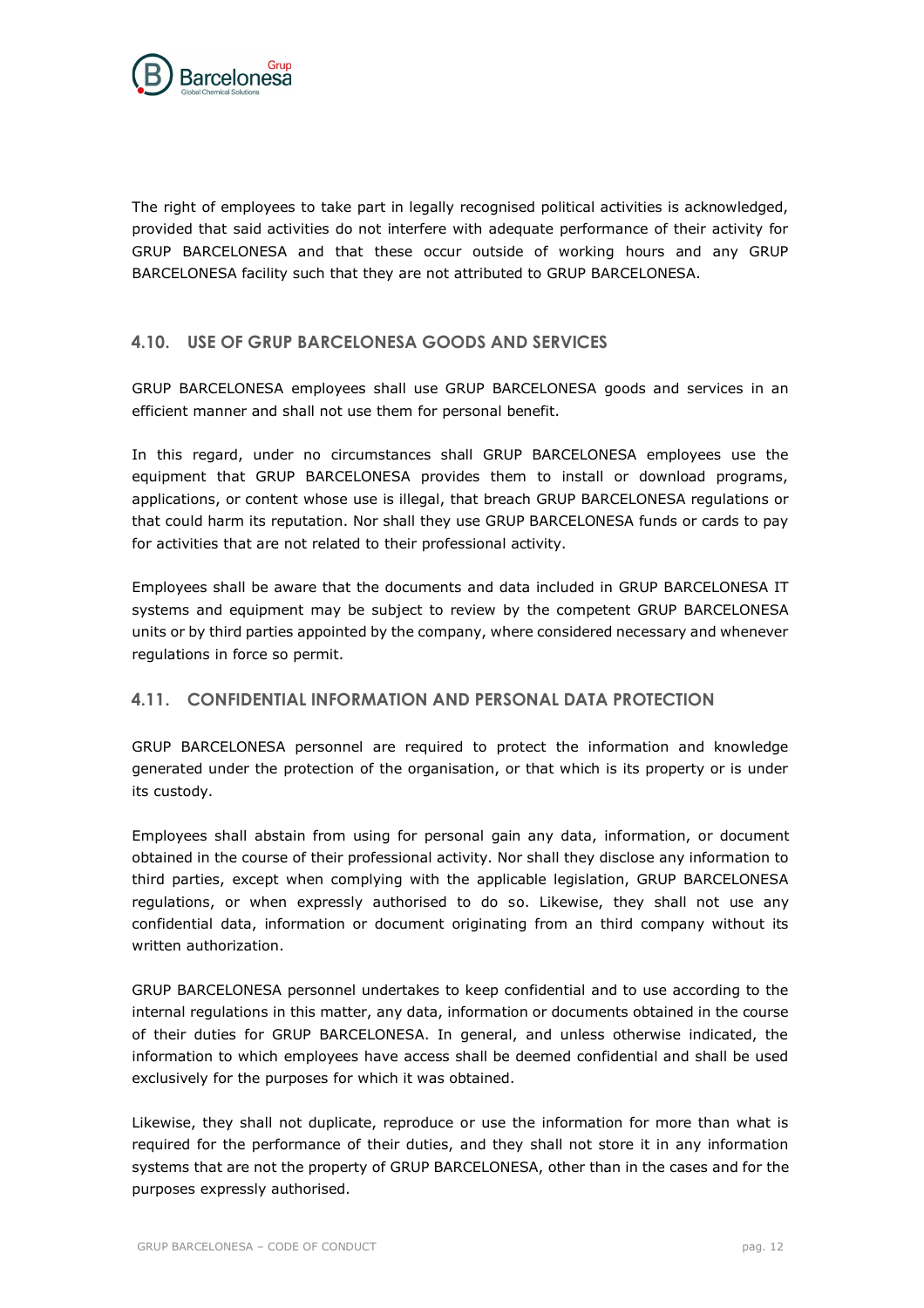

The right of employees to take part in legally recognised political activities is acknowledged, provided that said activities do not interfere with adequate performance of their activity for GRUP BARCELONESA and that these occur outside of working hours and any GRUP BARCELONESA facility such that they are not attributed to GRUP BARCELONESA.

### <span id="page-11-0"></span>**4.10. USE OF GRUP BARCELONESA GOODS AND SERVICES**

GRUP BARCELONESA employees shall use GRUP BARCELONESA goods and services in an efficient manner and shall not use them for personal benefit.

In this regard, under no circumstances shall GRUP BARCELONESA employees use the equipment that GRUP BARCELONESA provides them to install or download programs, applications, or content whose use is illegal, that breach GRUP BARCELONESA regulations or that could harm its reputation. Nor shall they use GRUP BARCELONESA funds or cards to pay for activities that are not related to their professional activity.

Employees shall be aware that the documents and data included in GRUP BARCELONESA IT systems and equipment may be subject to review by the competent GRUP BARCELONESA units or by third parties appointed by the company, where considered necessary and whenever regulations in force so permit.

### <span id="page-11-1"></span>**4.11. CONFIDENTIAL INFORMATION AND PERSONAL DATA PROTECTION**

GRUP BARCELONESA personnel are required to protect the information and knowledge generated under the protection of the organisation, or that which is its property or is under its custody.

Employees shall abstain from using for personal gain any data, information, or document obtained in the course of their professional activity. Nor shall they disclose any information to third parties, except when complying with the applicable legislation, GRUP BARCELONESA regulations, or when expressly authorised to do so. Likewise, they shall not use any confidential data, information or document originating from an third company without its written authorization.

GRUP BARCELONESA personnel undertakes to keep confidential and to use according to the internal regulations in this matter, any data, information or documents obtained in the course of their duties for GRUP BARCELONESA. In general, and unless otherwise indicated, the information to which employees have access shall be deemed confidential and shall be used exclusively for the purposes for which it was obtained.

Likewise, they shall not duplicate, reproduce or use the information for more than what is required for the performance of their duties, and they shall not store it in any information systems that are not the property of GRUP BARCELONESA, other than in the cases and for the purposes expressly authorised.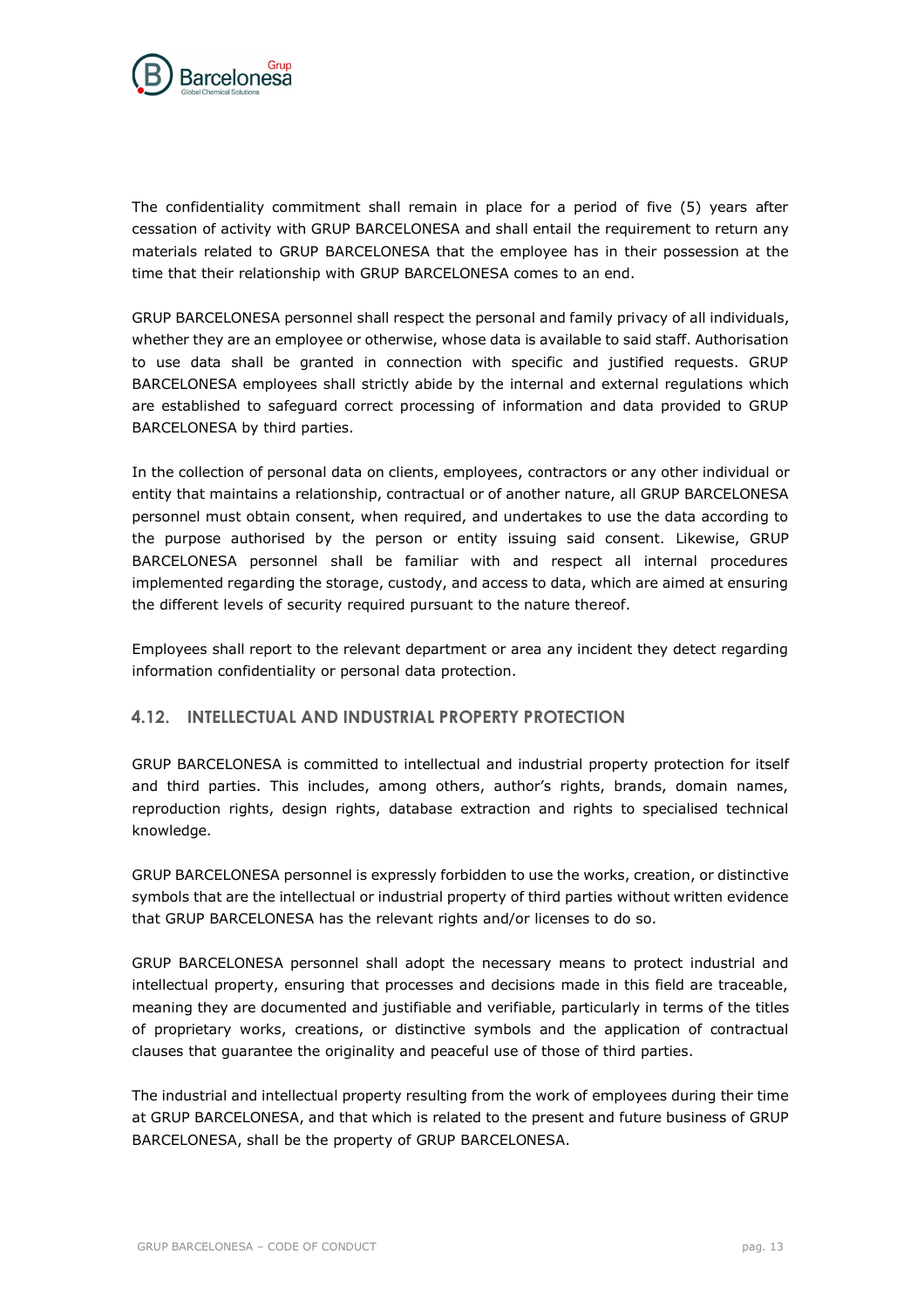

The confidentiality commitment shall remain in place for a period of five (5) years after cessation of activity with GRUP BARCELONESA and shall entail the requirement to return any materials related to GRUP BARCELONESA that the employee has in their possession at the time that their relationship with GRUP BARCELONESA comes to an end.

GRUP BARCELONESA personnel shall respect the personal and family privacy of all individuals, whether they are an employee or otherwise, whose data is available to said staff. Authorisation to use data shall be granted in connection with specific and justified requests. GRUP BARCELONESA employees shall strictly abide by the internal and external regulations which are established to safeguard correct processing of information and data provided to GRUP BARCELONESA by third parties.

In the collection of personal data on clients, employees, contractors or any other individual or entity that maintains a relationship, contractual or of another nature, all GRUP BARCELONESA personnel must obtain consent, when required, and undertakes to use the data according to the purpose authorised by the person or entity issuing said consent. Likewise, GRUP BARCELONESA personnel shall be familiar with and respect all internal procedures implemented regarding the storage, custody, and access to data, which are aimed at ensuring the different levels of security required pursuant to the nature thereof.

Employees shall report to the relevant department or area any incident they detect regarding information confidentiality or personal data protection.

# <span id="page-12-0"></span>**4.12. INTELLECTUAL AND INDUSTRIAL PROPERTY PROTECTION**

GRUP BARCELONESA is committed to intellectual and industrial property protection for itself and third parties. This includes, among others, author's rights, brands, domain names, reproduction rights, design rights, database extraction and rights to specialised technical knowledge.

GRUP BARCELONESA personnel is expressly forbidden to use the works, creation, or distinctive symbols that are the intellectual or industrial property of third parties without written evidence that GRUP BARCELONESA has the relevant rights and/or licenses to do so.

GRUP BARCELONESA personnel shall adopt the necessary means to protect industrial and intellectual property, ensuring that processes and decisions made in this field are traceable, meaning they are documented and justifiable and verifiable, particularly in terms of the titles of proprietary works, creations, or distinctive symbols and the application of contractual clauses that guarantee the originality and peaceful use of those of third parties.

The industrial and intellectual property resulting from the work of employees during their time at GRUP BARCELONESA, and that which is related to the present and future business of GRUP BARCELONESA, shall be the property of GRUP BARCELONESA.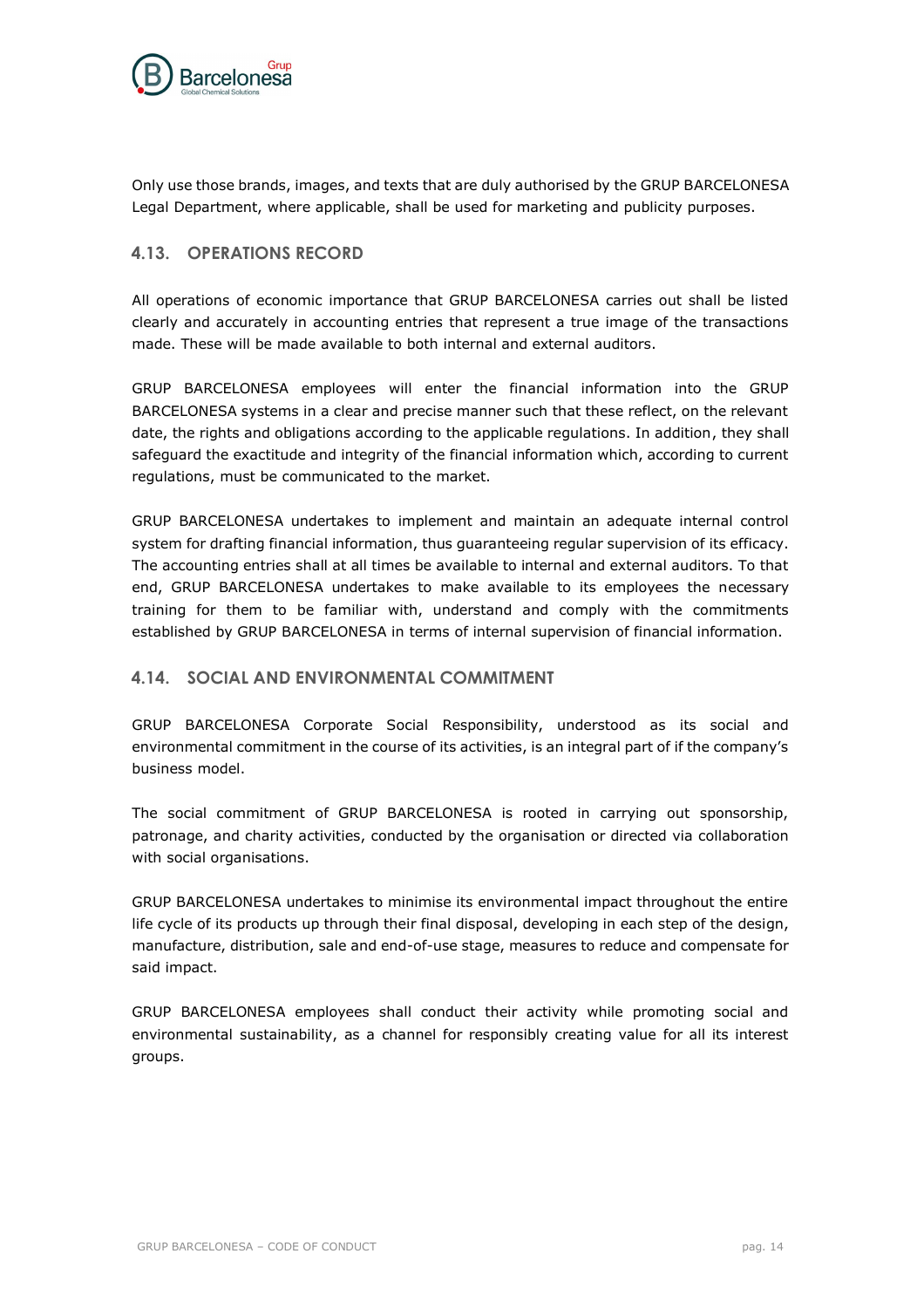

Only use those brands, images, and texts that are duly authorised by the GRUP BARCELONESA Legal Department, where applicable, shall be used for marketing and publicity purposes.

### <span id="page-13-0"></span>**4.13. OPERATIONS RECORD**

All operations of economic importance that GRUP BARCELONESA carries out shall be listed clearly and accurately in accounting entries that represent a true image of the transactions made. These will be made available to both internal and external auditors.

GRUP BARCELONESA employees will enter the financial information into the GRUP BARCELONESA systems in a clear and precise manner such that these reflect, on the relevant date, the rights and obligations according to the applicable regulations. In addition, they shall safeguard the exactitude and integrity of the financial information which, according to current regulations, must be communicated to the market.

GRUP BARCELONESA undertakes to implement and maintain an adequate internal control system for drafting financial information, thus guaranteeing regular supervision of its efficacy. The accounting entries shall at all times be available to internal and external auditors. To that end, GRUP BARCELONESA undertakes to make available to its employees the necessary training for them to be familiar with, understand and comply with the commitments established by GRUP BARCELONESA in terms of internal supervision of financial information.

### <span id="page-13-1"></span>**4.14. SOCIAL AND ENVIRONMENTAL COMMITMENT**

GRUP BARCELONESA Corporate Social Responsibility, understood as its social and environmental commitment in the course of its activities, is an integral part of if the company's business model.

The social commitment of GRUP BARCELONESA is rooted in carrying out sponsorship, patronage, and charity activities, conducted by the organisation or directed via collaboration with social organisations.

GRUP BARCELONESA undertakes to minimise its environmental impact throughout the entire life cycle of its products up through their final disposal, developing in each step of the design, manufacture, distribution, sale and end-of-use stage, measures to reduce and compensate for said impact.

GRUP BARCELONESA employees shall conduct their activity while promoting social and environmental sustainability, as a channel for responsibly creating value for all its interest groups.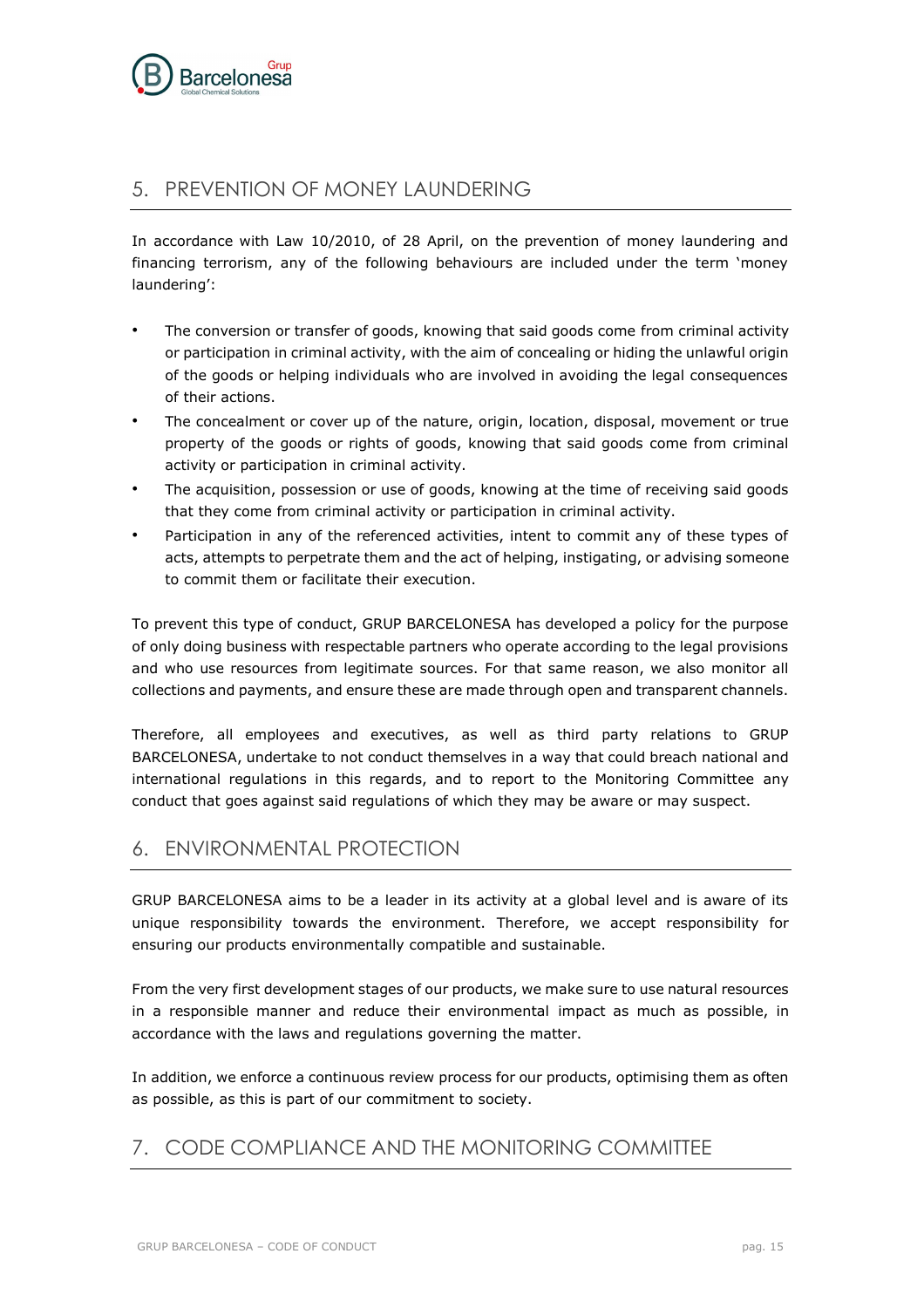

# <span id="page-14-0"></span>5. PREVENTION OF MONEY LAUNDERING

In accordance with Law 10/2010, of 28 April, on the prevention of money laundering and financing terrorism, any of the following behaviours are included under the term 'money laundering':

- The conversion or transfer of goods, knowing that said goods come from criminal activity or participation in criminal activity, with the aim of concealing or hiding the unlawful origin of the goods or helping individuals who are involved in avoiding the legal consequences of their actions.
- The concealment or cover up of the nature, origin, location, disposal, movement or true property of the goods or rights of goods, knowing that said goods come from criminal activity or participation in criminal activity.
- The acquisition, possession or use of goods, knowing at the time of receiving said goods that they come from criminal activity or participation in criminal activity.
- Participation in any of the referenced activities, intent to commit any of these types of acts, attempts to perpetrate them and the act of helping, instigating, or advising someone to commit them or facilitate their execution.

To prevent this type of conduct, GRUP BARCELONESA has developed a policy for the purpose of only doing business with respectable partners who operate according to the legal provisions and who use resources from legitimate sources. For that same reason, we also monitor all collections and payments, and ensure these are made through open and transparent channels.

Therefore, all employees and executives, as well as third party relations to GRUP BARCELONESA, undertake to not conduct themselves in a way that could breach national and international regulations in this regards, and to report to the Monitoring Committee any conduct that goes against said regulations of which they may be aware or may suspect.

# <span id="page-14-1"></span>6. ENVIRONMENTAL PROTECTION

GRUP BARCELONESA aims to be a leader in its activity at a global level and is aware of its unique responsibility towards the environment. Therefore, we accept responsibility for ensuring our products environmentally compatible and sustainable.

From the very first development stages of our products, we make sure to use natural resources in a responsible manner and reduce their environmental impact as much as possible, in accordance with the laws and regulations governing the matter.

In addition, we enforce a continuous review process for our products, optimising them as often as possible, as this is part of our commitment to society.

# <span id="page-14-2"></span>7. CODE COMPLIANCE AND THE MONITORING COMMITTEE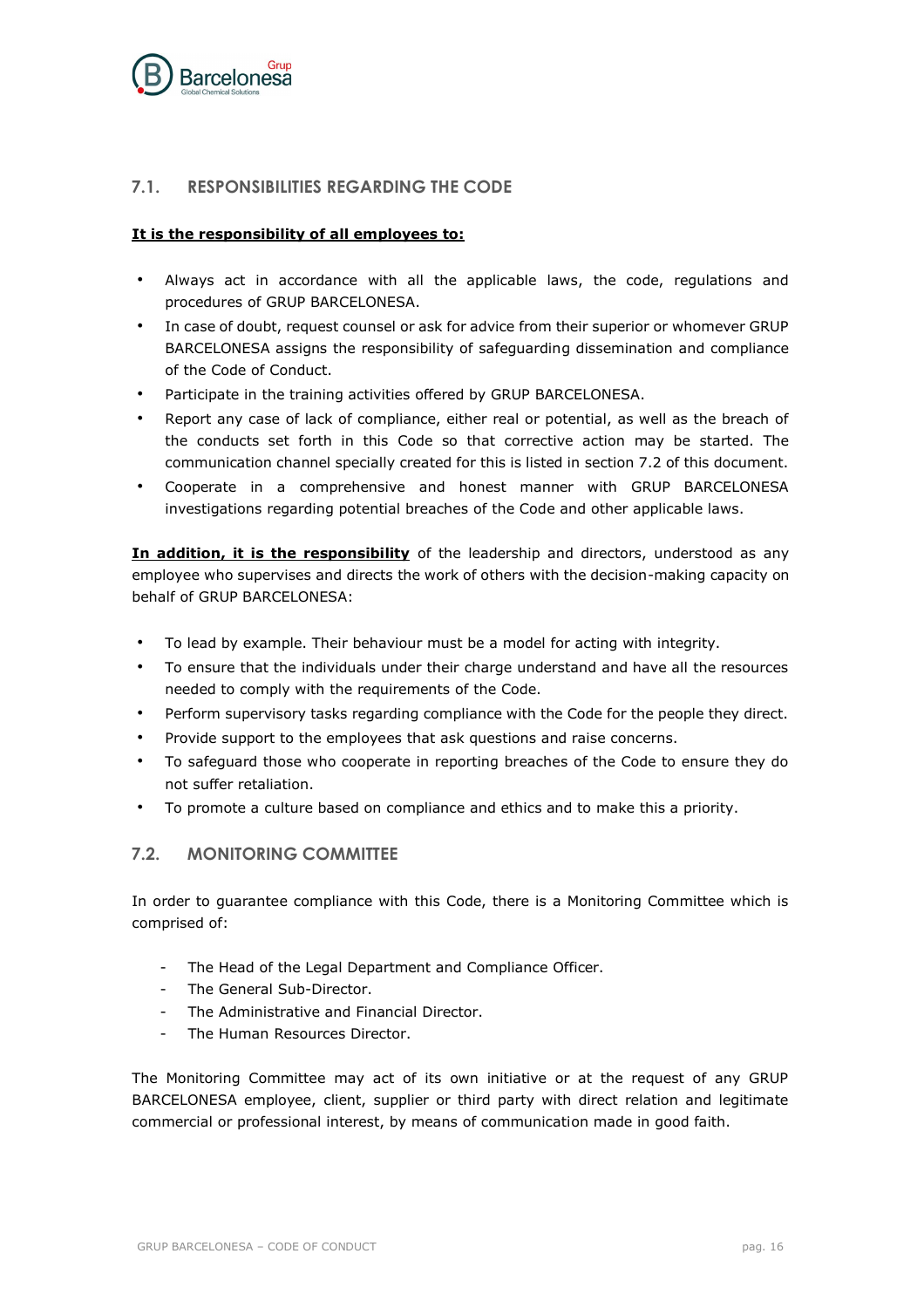

## <span id="page-15-0"></span>**7.1. RESPONSIBILITIES REGARDING THE CODE**

#### **It is the responsibility of all employees to:**

- Always act in accordance with all the applicable laws, the code, regulations and procedures of GRUP BARCELONESA.
- In case of doubt, request counsel or ask for advice from their superior or whomever GRUP BARCELONESA assigns the responsibility of safeguarding dissemination and compliance of the Code of Conduct.
- Participate in the training activities offered by GRUP BARCELONESA.
- Report any case of lack of compliance, either real or potential, as well as the breach of the conducts set forth in this Code so that corrective action may be started. The communication channel specially created for this is listed in section 7.2 of this document.
- Cooperate in a comprehensive and honest manner with GRUP BARCELONESA investigations regarding potential breaches of the Code and other applicable laws.

**In addition, it is the responsibility** of the leadership and directors, understood as any employee who supervises and directs the work of others with the decision-making capacity on behalf of GRUP BARCELONESA:

- To lead by example. Their behaviour must be a model for acting with integrity.
- To ensure that the individuals under their charge understand and have all the resources needed to comply with the requirements of the Code.
- Perform supervisory tasks regarding compliance with the Code for the people they direct.
- Provide support to the employees that ask questions and raise concerns.
- To safeguard those who cooperate in reporting breaches of the Code to ensure they do not suffer retaliation.
- To promote a culture based on compliance and ethics and to make this a priority.

### <span id="page-15-1"></span>**7.2. MONITORING COMMITTEE**

In order to guarantee compliance with this Code, there is a Monitoring Committee which is comprised of:

- The Head of the Legal Department and Compliance Officer.
- The General Sub-Director.
- The Administrative and Financial Director.
- The Human Resources Director.

The Monitoring Committee may act of its own initiative or at the request of any GRUP BARCELONESA employee, client, supplier or third party with direct relation and legitimate commercial or professional interest, by means of communication made in good faith.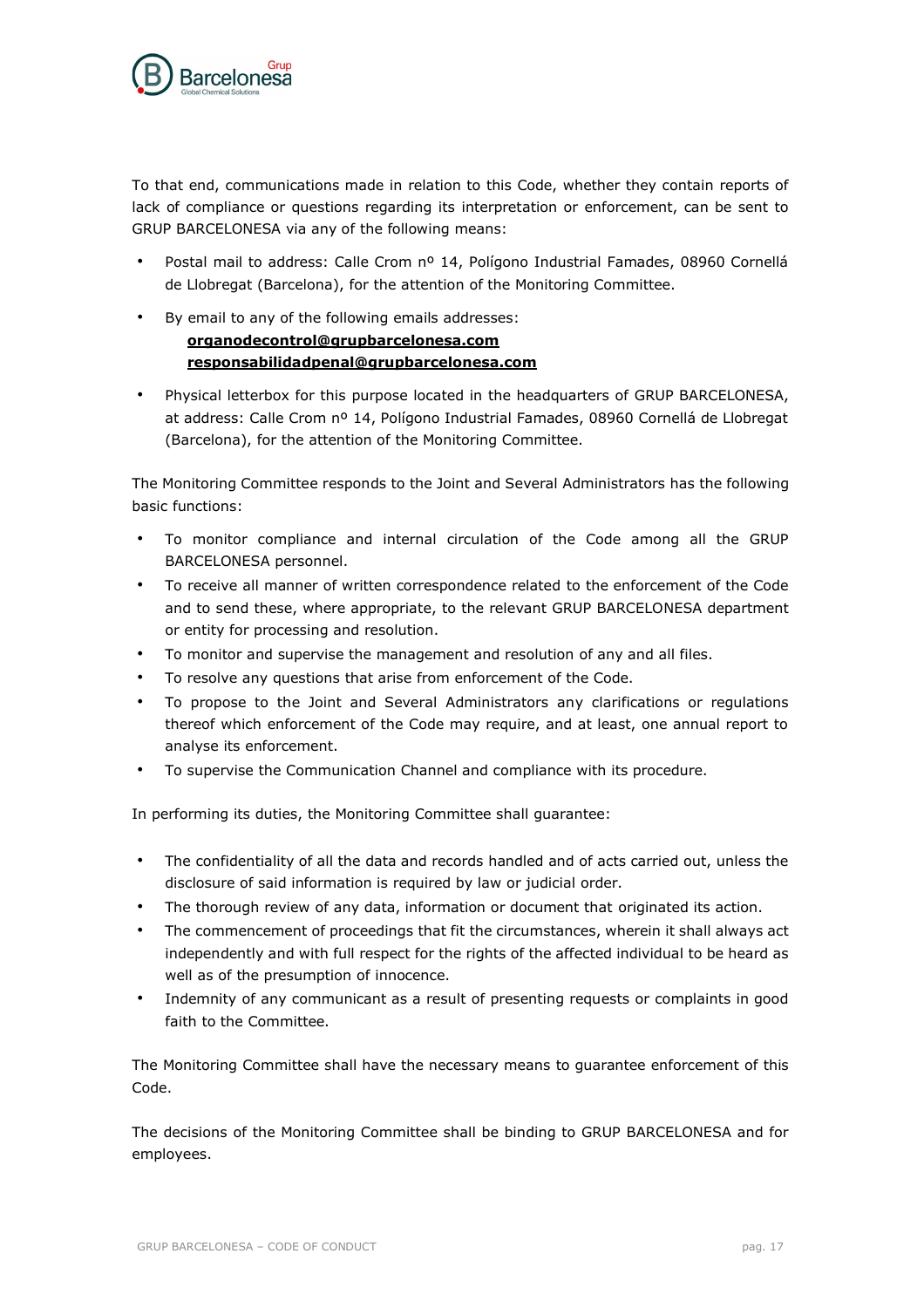

To that end, communications made in relation to this Code, whether they contain reports of lack of compliance or questions regarding its interpretation or enforcement, can be sent to GRUP BARCELONESA via any of the following means:

- Postal mail to address: Calle Crom nº 14, Polígono Industrial Famades, 08960 Cornellá de Llobregat (Barcelona), for the attention of the Monitoring Committee.
- By email to any of the following emails addresses:

# **[organodecontrol@grupbarcelonesa.com](mailto:organodecontrol@grupbarcelonesa.com) responsabilidadpenal@grupbarcelonesa.com**

• Physical letterbox for this purpose located in the headquarters of GRUP BARCELONESA, at address: Calle Crom nº 14, Polígono Industrial Famades, 08960 Cornellá de Llobregat (Barcelona), for the attention of the Monitoring Committee.

The Monitoring Committee responds to the Joint and Several Administrators has the following basic functions:

- To monitor compliance and internal circulation of the Code among all the GRUP BARCELONESA personnel.
- To receive all manner of written correspondence related to the enforcement of the Code and to send these, where appropriate, to the relevant GRUP BARCELONESA department or entity for processing and resolution.
- To monitor and supervise the management and resolution of any and all files.
- To resolve any questions that arise from enforcement of the Code.
- To propose to the Joint and Several Administrators any clarifications or regulations thereof which enforcement of the Code may require, and at least, one annual report to analyse its enforcement.
- To supervise the Communication Channel and compliance with its procedure.

In performing its duties, the Monitoring Committee shall guarantee:

- The confidentiality of all the data and records handled and of acts carried out, unless the disclosure of said information is required by law or judicial order.
- The thorough review of any data, information or document that originated its action.
- The commencement of proceedings that fit the circumstances, wherein it shall always act independently and with full respect for the rights of the affected individual to be heard as well as of the presumption of innocence.
- Indemnity of any communicant as a result of presenting requests or complaints in good faith to the Committee.

The Monitoring Committee shall have the necessary means to guarantee enforcement of this Code.

The decisions of the Monitoring Committee shall be binding to GRUP BARCELONESA and for employees.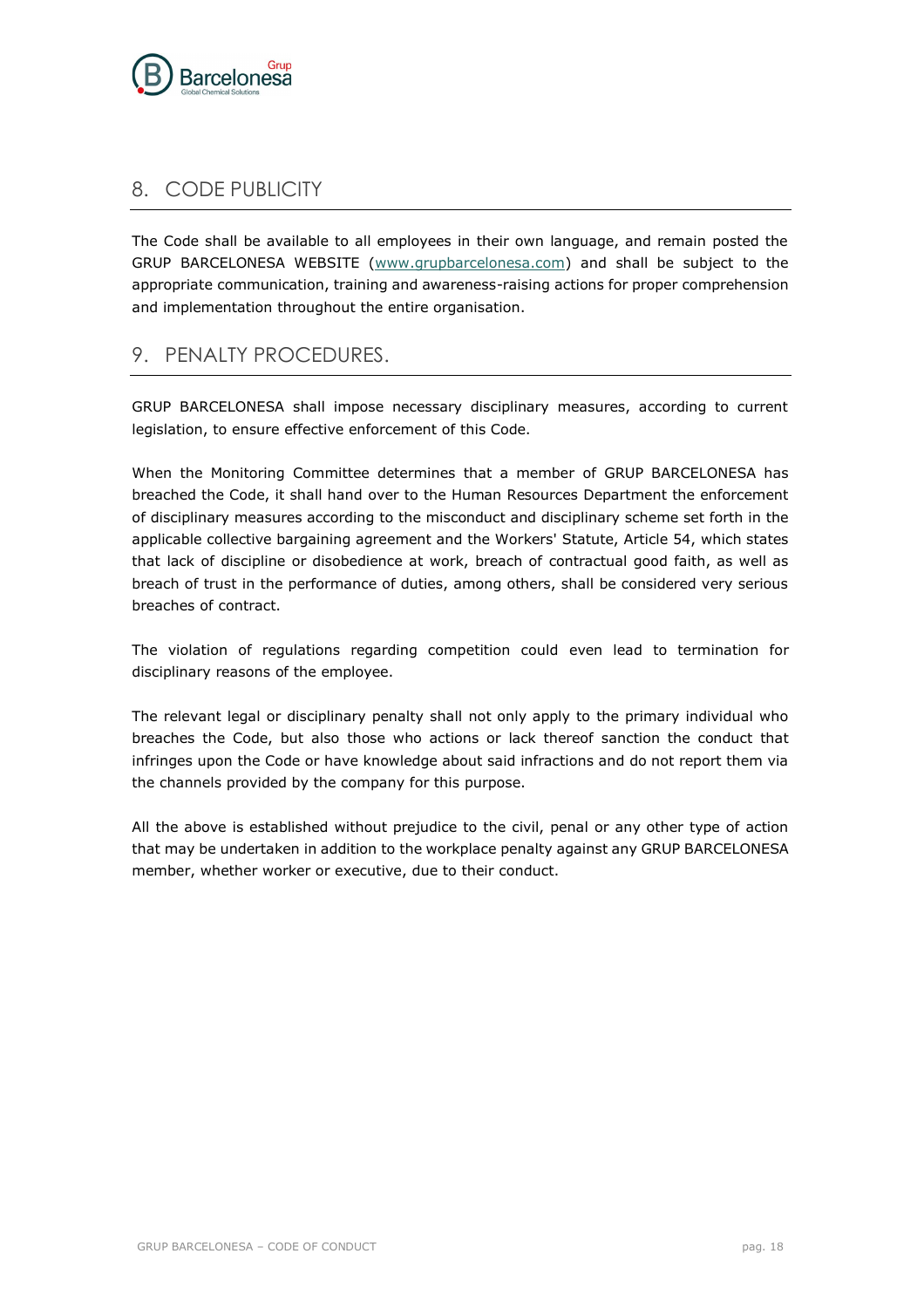

# <span id="page-17-0"></span>8. CODE PUBLICITY

The Code shall be available to all employees in their own language, and remain posted the GRUP BARCELONESA WEBSITE (www.grupbarcelonesa.com) and shall be subject to the appropriate communication, training and awareness-raising actions for proper comprehension and implementation throughout the entire organisation.

# <span id="page-17-1"></span>9. PENALTY PROCEDURES.

GRUP BARCELONESA shall impose necessary disciplinary measures, according to current legislation, to ensure effective enforcement of this Code.

When the Monitoring Committee determines that a member of GRUP BARCELONESA has breached the Code, it shall hand over to the Human Resources Department the enforcement of disciplinary measures according to the misconduct and disciplinary scheme set forth in the applicable collective bargaining agreement and the Workers' Statute, Article 54, which states that lack of discipline or disobedience at work, breach of contractual good faith, as well as breach of trust in the performance of duties, among others, shall be considered very serious breaches of contract.

The violation of regulations regarding competition could even lead to termination for disciplinary reasons of the employee.

The relevant legal or disciplinary penalty shall not only apply to the primary individual who breaches the Code, but also those who actions or lack thereof sanction the conduct that infringes upon the Code or have knowledge about said infractions and do not report them via the channels provided by the company for this purpose.

All the above is established without prejudice to the civil, penal or any other type of action that may be undertaken in addition to the workplace penalty against any GRUP BARCELONESA member, whether worker or executive, due to their conduct.